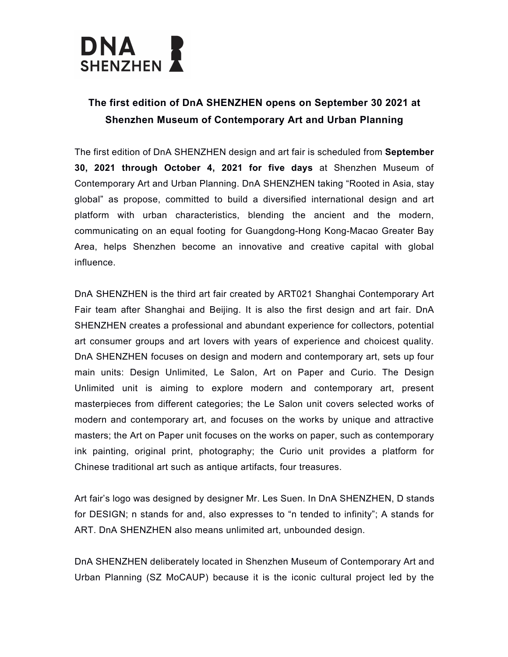

## **The first edition of DnA SHENZHEN opens on September 30 2021 at Shenzhen Museum of Contemporary Art and Urban Planning**

The first edition of DnA SHENZHEN design and art fair is scheduled from **September 30, 2021 through October 4, 2021 for five days** at Shenzhen Museum of Contemporary Art and Urban Planning. DnA SHENZHEN taking "Rooted in Asia, stay global" as propose, committed to build a diversified international design and art platform with urban characteristics, blending the ancient and the modern, communicating on an equal footing for Guangdong-Hong Kong-Macao Greater Bay Area, helps Shenzhen become an innovative and creative capital with global influence.

DnA SHENZHEN is the third art fair created by ART021 Shanghai Contemporary Art Fair team after Shanghai and Beijing. It is also the first design and art fair. DnA SHENZHEN creates a professional and abundant experience for collectors, potential art consumer groups and art lovers with years of experience and choicest quality. DnA SHENZHEN focuses on design and modern and contemporary art, sets up four main units: Design Unlimited, Le Salon, Art on Paper and Curio. The Design Unlimited unit is aiming to explore modern and contemporary art, present masterpieces from different categories; the Le Salon unit covers selected works of modern and contemporary art, and focuses on the works by unique and attractive masters; the Art on Paper unit focuses on the works on paper, such as contemporary ink painting, original print, photography; the Curio unit provides a platform for Chinese traditional art such as antique artifacts, four treasures.

Art fair's logo was designed by designer Mr. Les Suen. In DnA SHENZHEN, D stands for DESIGN; n stands for and, also expresses to "n tended to infinity"; A stands for ART. DnA SHENZHEN also means unlimited art, unbounded design.

DnA SHENZHEN deliberately located in Shenzhen Museum of Contemporary Art and Urban Planning (SZ MoCAUP) because it is the iconic cultural project led by the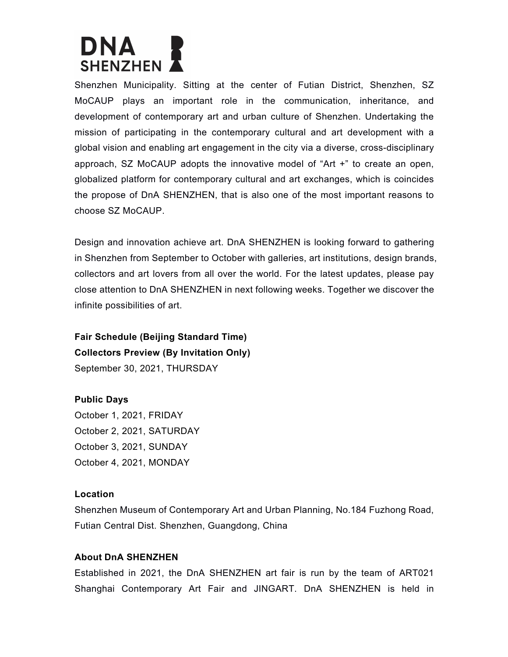# DNA **SHENZHEN**

Shenzhen Municipality. Sitting at the center of Futian District, Shenzhen, SZ MoCAUP plays an important role in the communication, inheritance, and development of contemporary art and urban culture of Shenzhen. Undertaking the mission of participating in the contemporary cultural and art development with a global vision and enabling art engagement in the city via a diverse, cross-disciplinary approach, SZ MoCAUP adopts the innovative model of "Art +" to create an open, globalized platform for contemporary cultural and art exchanges, which is coincides the propose of DnA SHENZHEN, that is also one of the most important reasons to choose SZ MoCAUP.

Design and innovation achieve art. DnA SHENZHEN is looking forward to gathering in Shenzhen from September to October with galleries, art institutions, design brands, collectors and art lovers from all over the world. For the latest updates, please pay close attention to DnA SHENZHEN in next following weeks. Together we discover the infinite possibilities of art.

**Fair Schedule (Beijing Standard Time) Collectors Preview (By Invitation Only)** September 30, 2021, THURSDAY

#### **Public Days**

October 1, 2021, FRIDAY October 2, 2021, SATURDAY October 3, 2021, SUNDAY October 4, 2021, MONDAY

#### **Location**

Shenzhen Museum of Contemporary Art and Urban Planning, No.184 Fuzhong Road, Futian Central Dist. Shenzhen, Guangdong, China

### **About DnA SHENZHEN**

Established in 2021, the DnA SHENZHEN art fair is run by the team of ART021 Shanghai Contemporary Art Fair and JINGART. DnA SHENZHEN is held in